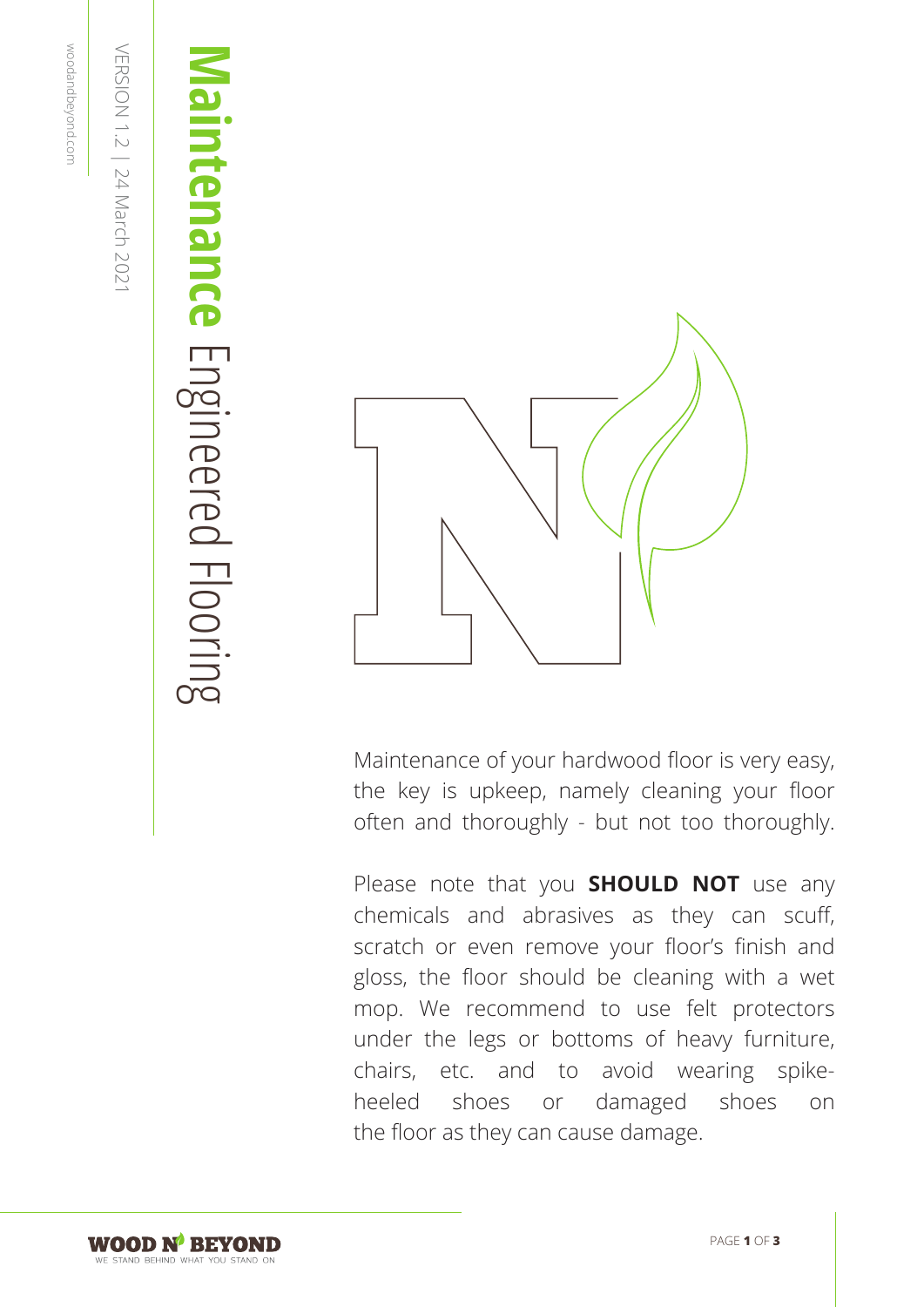# **Maintenance** lintenance Engineered Floorir Engineered Flooring



Maintenance of your hardwood floor is very easy, the key is upkeep, namely cleaning your floor often and thoroughly - but not too thoroughly.

Please note that you **SHOULD NOT** use any chemicals and abrasives as they can scuff, scratch or even remove your floor's finish and gloss, the floor should be cleaning with a wet mop. We recommend to use felt protectors under the legs or bottoms of heavy furniture, chairs, etc. and to avoid wearing spikeheeled shoes or damaged shoes on the floor as they can cause damage.

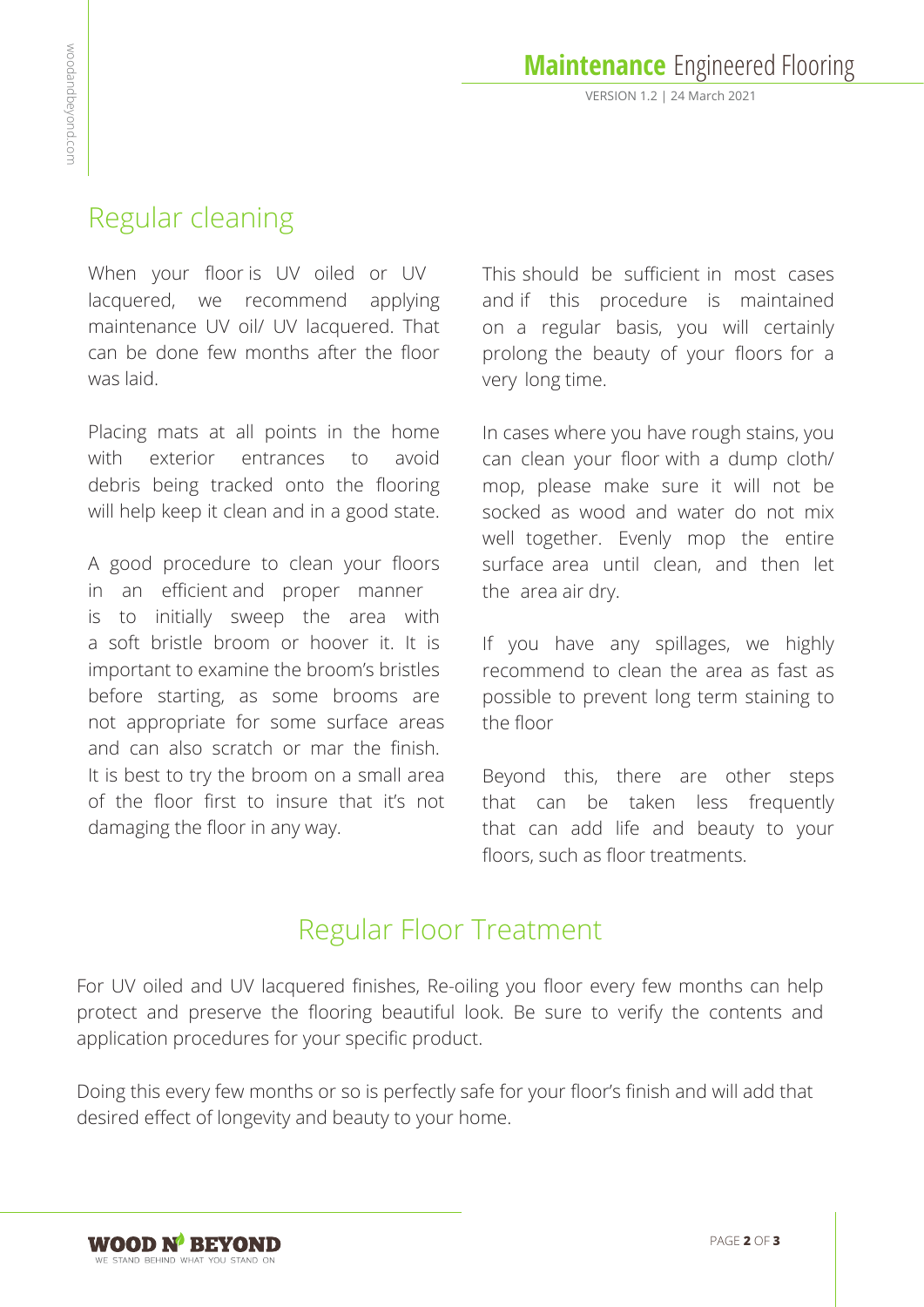# Regular cleaning

When your floor is UV oiled or UV lacquered, we recommend applying maintenance UV oil/ UV lacquered. That can be done few months after the floor was laid.

Placing mats at all points in the home with exterior entrances to avoid debris being tracked onto the flooring will help keep it clean and in a good state.

A good procedure to clean your floors in an efficient and proper manner is to initially sweep the area with a soft bristle broom or hoover it. It is important to examine the broom's bristles before starting, as some brooms are not appropriate for some surface areas and can also scratch or mar the finish. It is best to try the broom on a small area of the floor first to insure that it's not damaging the floor in any way.

This should be sufficient in most cases and if this procedure is maintained on a regular basis, you will certainly prolong the beauty of your floors for a very long time.

In cases where you have rough stains, you can clean your floor with a dump cloth/ mop, please make sure it will not be socked as wood and water do not mix well together. Evenly mop the entire surface area until clean, and then let the area air dry.

If you have any spillages, we highly recommend to clean the area as fast as possible to prevent long term staining to the floor

Beyond this, there are other steps that can be taken less frequently that can add life and beauty to your floors, such as floor treatments.

# Regular Floor Treatment

For UV oiled and UV lacquered finishes, Re-oiling you floor every few months can help protect and preserve the flooring beautiful look. Be sure to verify the contents and application procedures for your specific product.

Doing this every few months or so is perfectly safe for your floor's finish and will add that desired effect of longevity and beauty to your home.